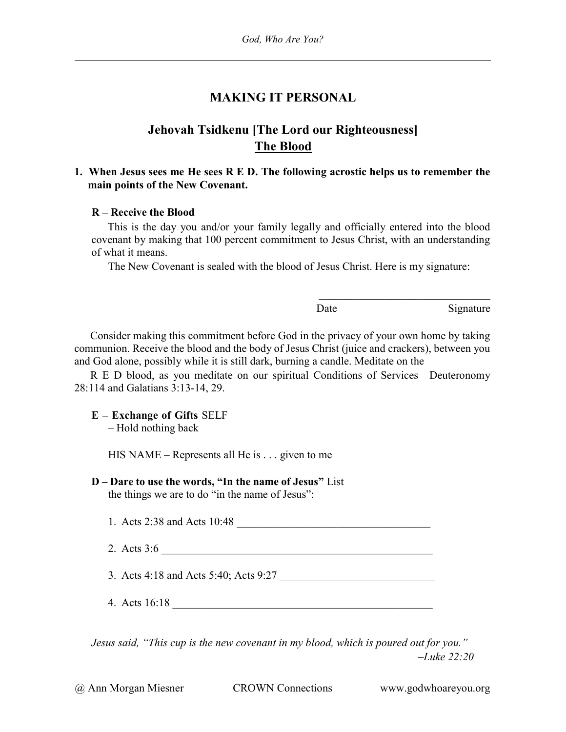## MAKING IT PERSONAL

# Jehovah Tsidkenu [The Lord our Righteousness] The Blood

### 1. When Jesus sees me He sees R E D. The following acrostic helps us to remember the main points of the New Covenant.

#### R – Receive the Blood

This is the day you and/or your family legally and officially entered into the blood covenant by making that 100 percent commitment to Jesus Christ, with an understanding of what it means.

The New Covenant is sealed with the blood of Jesus Christ. Here is my signature:

Date Signature

Consider making this commitment before God in the privacy of your own home by taking communion. Receive the blood and the body of Jesus Christ (juice and crackers), between you and God alone, possibly while it is still dark, burning a candle. Meditate on the

R E D blood, as you meditate on our spiritual Conditions of Services—Deuteronomy 28:114 and Galatians 3:13-14, 29.

### E – Exchange of Gifts SELF

– Hold nothing back

HIS NAME – Represents all He is  $\ldots$  given to me

## D – Dare to use the words, "In the name of Jesus" List

the things we are to do "in the name of Jesus":

1. Acts 2:38 and Acts 10:48

2. Acts 3:6 \_\_\_\_\_\_\_\_\_\_\_\_\_\_\_\_\_\_\_\_\_\_\_\_\_\_\_\_\_\_\_\_\_\_\_\_\_\_\_\_\_\_\_\_\_\_\_\_\_

3. Acts 4:18 and Acts 5:40; Acts 9:27

4. Acts 16:18 \_\_\_\_\_\_\_\_\_\_\_\_\_\_\_\_\_\_\_\_\_\_\_\_\_\_\_\_\_\_\_\_\_\_\_\_\_\_\_\_\_\_\_\_\_\_\_

Jesus said, "This cup is the new covenant in my blood, which is poured out for you."  $-Luke 22:20$